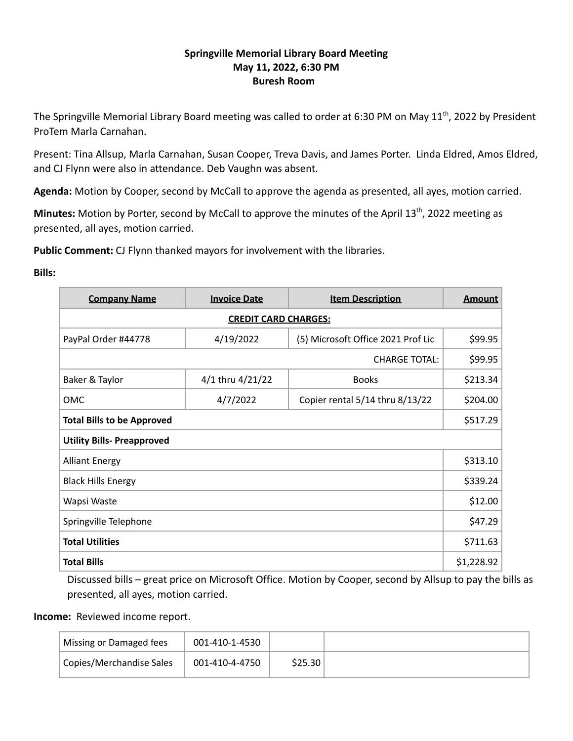# **Springville Memorial Library Board Meeting May 11, 2022, 6:30 PM Buresh Room**

The Springville Memorial Library Board meeting was called to order at 6:30 PM on May 11<sup>th</sup>, 2022 by President ProTem Marla Carnahan.

Present: Tina Allsup, Marla Carnahan, Susan Cooper, Treva Davis, and James Porter. Linda Eldred, Amos Eldred, and CJ Flynn were also in attendance. Deb Vaughn was absent.

**Agenda:** Motion by Cooper, second by McCall to approve the agenda as presented, all ayes, motion carried.

Minutes: Motion by Porter, second by McCall to approve the minutes of the April 13<sup>th</sup>, 2022 meeting as presented, all ayes, motion carried.

**Public Comment:** CJ Flynn thanked mayors for involvement with the libraries.

**Bills:**

| <b>Company Name</b>               | <b>Invoice Date</b> | <b>Item Description</b>            | <b>Amount</b> |  |  |  |
|-----------------------------------|---------------------|------------------------------------|---------------|--|--|--|
| <b>CREDIT CARD CHARGES:</b>       |                     |                                    |               |  |  |  |
| PayPal Order #44778               | 4/19/2022           | (5) Microsoft Office 2021 Prof Lic | \$99.95       |  |  |  |
| <b>CHARGE TOTAL:</b>              |                     |                                    |               |  |  |  |
| Baker & Taylor                    | 4/1 thru 4/21/22    | <b>Books</b>                       | \$213.34      |  |  |  |
| <b>OMC</b>                        | 4/7/2022            | Copier rental 5/14 thru 8/13/22    | \$204.00      |  |  |  |
| <b>Total Bills to be Approved</b> |                     |                                    |               |  |  |  |
| <b>Utility Bills- Preapproved</b> |                     |                                    |               |  |  |  |
| <b>Alliant Energy</b>             |                     |                                    | \$313.10      |  |  |  |
| <b>Black Hills Energy</b>         |                     |                                    |               |  |  |  |
| Wapsi Waste                       |                     |                                    | \$12.00       |  |  |  |
| Springville Telephone             |                     |                                    | \$47.29       |  |  |  |
| <b>Total Utilities</b>            |                     |                                    | \$711.63      |  |  |  |
| <b>Total Bills</b>                |                     |                                    | \$1,228.92    |  |  |  |

Discussed bills – great price on Microsoft Office. Motion by Cooper, second by Allsup to pay the bills as presented, all ayes, motion carried.

## **Income:** Reviewed income report.

| Missing or Damaged fees  | 001-410-1-4530 |         |  |
|--------------------------|----------------|---------|--|
| Copies/Merchandise Sales | 001-410-4-4750 | \$25.30 |  |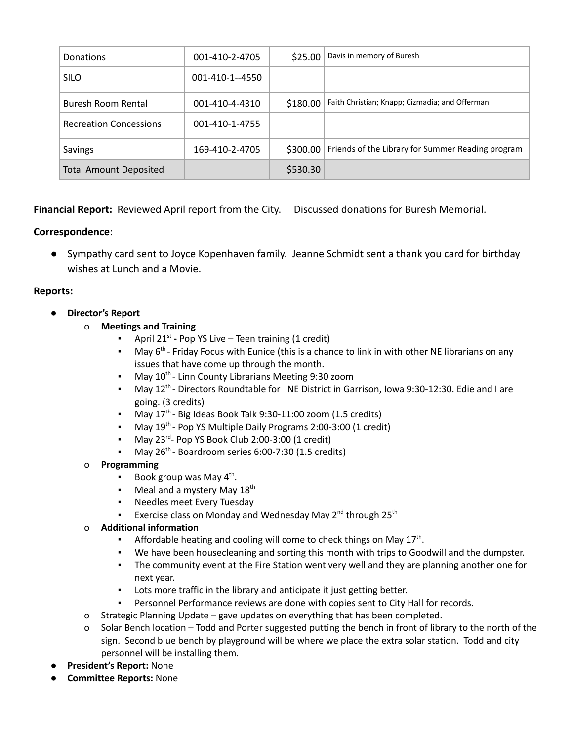| <b>Donations</b>              | 001-410-2-4705  | \$25.00  | Davis in memory of Buresh                         |
|-------------------------------|-----------------|----------|---------------------------------------------------|
| <b>SILO</b>                   | 001-410-1--4550 |          |                                                   |
| Buresh Room Rental            | 001-410-4-4310  | \$180.00 | Faith Christian; Knapp; Cizmadia; and Offerman    |
| <b>Recreation Concessions</b> | 001-410-1-4755  |          |                                                   |
| Savings                       | 169-410-2-4705  | \$300.00 | Friends of the Library for Summer Reading program |
| <b>Total Amount Deposited</b> |                 | \$530.30 |                                                   |

**Financial Report:** Reviewed April report from the City. Discussed donations for Buresh Memorial.

# **Correspondence**:

● Sympathy card sent to Joyce Kopenhaven family. Jeanne Schmidt sent a thank you card for birthday wishes at Lunch and a Movie.

## **Reports:**

- **● Director's Report**
	- o **Meetings and Training**
		- **-** April 21<sup>st</sup> Pop YS Live Teen training (1 credit)
		- $\blacksquare$  May 6<sup>th</sup> Friday Focus with Eunice (this is a chance to link in with other NE librarians on any issues that have come up through the month.
		- May 10<sup>th</sup> Linn County Librarians Meeting 9:30 zoom
		- May 12<sup>th</sup> Directors Roundtable for NE District in Garrison, Iowa 9:30-12:30. Edie and I are going. (3 credits)
		- $\blacksquare$  May 17<sup>th</sup> Big Ideas Book Talk 9:30-11:00 zoom (1.5 credits)
		- May 19<sup>th</sup> Pop YS Multiple Daily Programs 2:00-3:00 (1 credit)
		- May 23 rd Pop YS Book Club 2:00-3:00 (1 credit)
		- May 26<sup>th</sup> Boardroom series 6:00-7:30 (1.5 credits)

## o **Programming**

- **•** Book group was May  $4^{\text{th}}$ .
- **•** Meal and a mystery May 18<sup>th</sup>
- Needles meet Every Tuesday
- Exercise class on Monday and Wednesday May 2<sup>nd</sup> through 25<sup>th</sup>

## o **Additional information**

- **•** Affordable heating and cooling will come to check things on May  $17<sup>th</sup>$ .
- We have been housecleaning and sorting this month with trips to Goodwill and the dumpster.
- The community event at the Fire Station went very well and they are planning another one for next year.
- Lots more traffic in the library and anticipate it just getting better.
- Personnel Performance reviews are done with copies sent to City Hall for records.
- o Strategic Planning Update gave updates on everything that has been completed.
- o Solar Bench location Todd and Porter suggested putting the bench in front of library to the north of the sign. Second blue bench by playground will be where we place the extra solar station. Todd and city personnel will be installing them.
- **President's Report:** None
- **Committee Reports:** None